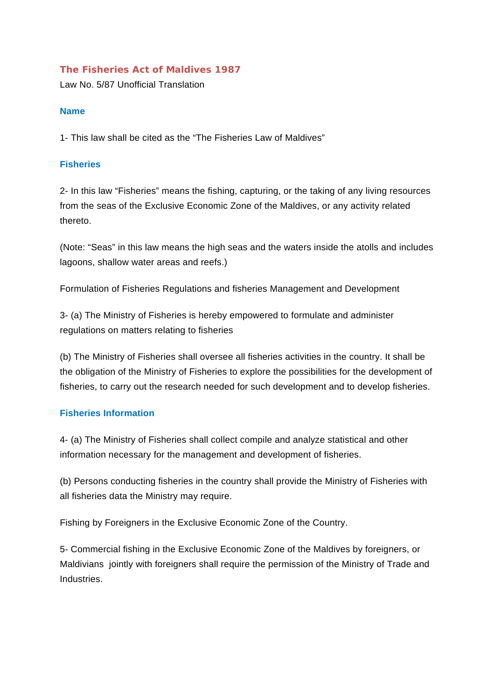# **The Fisheries Act of Maldives 1987**

Law No. 5/87 Unofficial Translation

# **Name**

1- This law shall be cited as the "The Fisheries Law of Maldives"

# **Fisheries**

2- In this law "Fisheries" means the fishing, capturing, or the taking of any living resources from the seas of the Exclusive Economic Zone of the Maldives, or any activity related thereto.

(Note: "Seas" in this law means the high seas and the waters inside the atolls and includes lagoons, shallow water areas and reefs.)

Formulation of Fisheries Regulations and fisheries Management and Development

3- (a) The Ministry of Fisheries is hereby empowered to formulate and administer regulations on matters relating to fisheries

(b) The Ministry of Fisheries shall oversee all fisheries activities in the country. It shall be the obligation of the Ministry of Fisheries to explore the possibilities for the development of fisheries, to carry out the research needed for such development and to develop fisheries.

# **Fisheries Information**

4- (a) The Ministry of Fisheries shall collect compile and analyze statistical and other information necessary for the management and development of fisheries.

(b) Persons conducting fisheries in the country shall provide the Ministry of Fisheries with all fisheries data the Ministry may require.

Fishing by Foreigners in the Exclusive Economic Zone of the Country.

5- Commercial fishing in the Exclusive Economic Zone of the Maldives by foreigners, or Maldivians jointly with foreigners shall require the permission of the Ministry of Trade and Industries.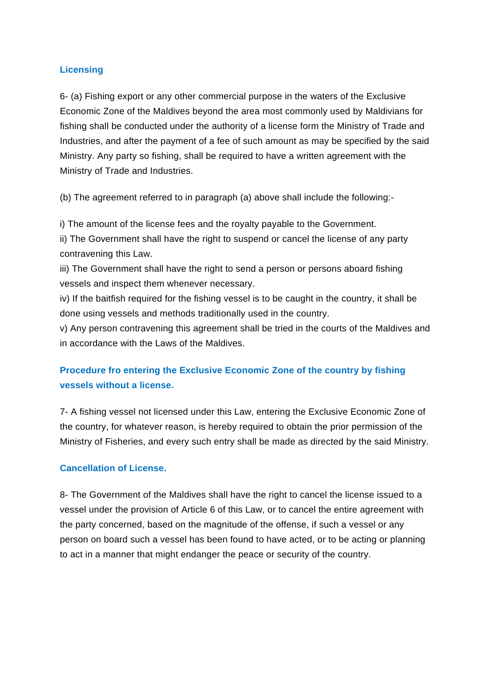## **Licensing**

6- (a) Fishing export or any other commercial purpose in the waters of the Exclusive Economic Zone of the Maldives beyond the area most commonly used by Maldivians for fishing shall be conducted under the authority of a license form the Ministry of Trade and Industries, and after the payment of a fee of such amount as may be specified by the said Ministry. Any party so fishing, shall be required to have a written agreement with the Ministry of Trade and Industries.

(b) The agreement referred to in paragraph (a) above shall include the following:-

i) The amount of the license fees and the royalty payable to the Government.

ii) The Government shall have the right to suspend or cancel the license of any party contravening this Law.

iii) The Government shall have the right to send a person or persons aboard fishing vessels and inspect them whenever necessary.

iv) If the baitfish required for the fishing vessel is to be caught in the country, it shall be done using vessels and methods traditionally used in the country.

v) Any person contravening this agreement shall be tried in the courts of the Maldives and in accordance with the Laws of the Maldives.

# **Procedure fro entering the Exclusive Economic Zone of the country by fishing vessels without a license.**

7- A fishing vessel not licensed under this Law, entering the Exclusive Economic Zone of the country, for whatever reason, is hereby required to obtain the prior permission of the Ministry of Fisheries, and every such entry shall be made as directed by the said Ministry.

## **Cancellation of License.**

8- The Government of the Maldives shall have the right to cancel the license issued to a vessel under the provision of Article 6 of this Law, or to cancel the entire agreement with the party concerned, based on the magnitude of the offense, if such a vessel or any person on board such a vessel has been found to have acted, or to be acting or planning to act in a manner that might endanger the peace or security of the country.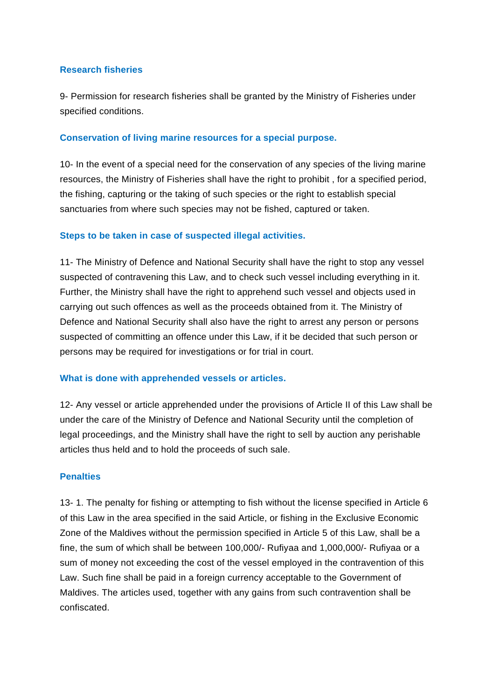#### **Research fisheries**

9- Permission for research fisheries shall be granted by the Ministry of Fisheries under specified conditions.

## **Conservation of living marine resources for a special purpose.**

10- In the event of a special need for the conservation of any species of the living marine resources, the Ministry of Fisheries shall have the right to prohibit , for a specified period, the fishing, capturing or the taking of such species or the right to establish special sanctuaries from where such species may not be fished, captured or taken.

## **Steps to be taken in case of suspected illegal activities.**

11- The Ministry of Defence and National Security shall have the right to stop any vessel suspected of contravening this Law, and to check such vessel including everything in it. Further, the Ministry shall have the right to apprehend such vessel and objects used in carrying out such offences as well as the proceeds obtained from it. The Ministry of Defence and National Security shall also have the right to arrest any person or persons suspected of committing an offence under this Law, if it be decided that such person or persons may be required for investigations or for trial in court.

## **What is done with apprehended vessels or articles.**

12- Any vessel or article apprehended under the provisions of Article II of this Law shall be under the care of the Ministry of Defence and National Security until the completion of legal proceedings, and the Ministry shall have the right to sell by auction any perishable articles thus held and to hold the proceeds of such sale.

## **Penalties**

13- 1. The penalty for fishing or attempting to fish without the license specified in Article 6 of this Law in the area specified in the said Article, or fishing in the Exclusive Economic Zone of the Maldives without the permission specified in Article 5 of this Law, shall be a fine, the sum of which shall be between 100,000/- Rufiyaa and 1,000,000/- Rufiyaa or a sum of money not exceeding the cost of the vessel employed in the contravention of this Law. Such fine shall be paid in a foreign currency acceptable to the Government of Maldives. The articles used, together with any gains from such contravention shall be confiscated.